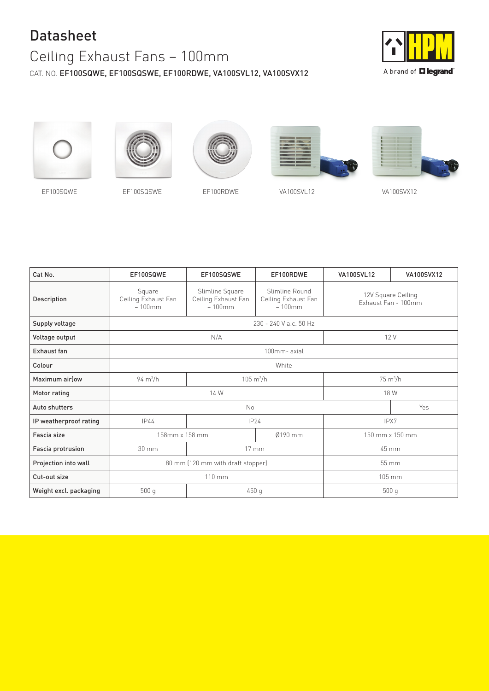## Datasheet

## Ceiling Exhaust Fans – 100mm

CAT. NO. EF100SQWE, EF100SQSWE, EF100RDWE, VA100SVL12, VA100SVX12



A brand of **L'ilegrand**®











EF100SQWE EF100SQSWE EF100RDWE VA100SVL12 VA100SVX12

| Cat No.                | EF100SQWE                                  | EF100SQSWE                                          | EF100RDWE                                          | <b>VA100SVL12</b>         | VA100SVX12                                |  |
|------------------------|--------------------------------------------|-----------------------------------------------------|----------------------------------------------------|---------------------------|-------------------------------------------|--|
| Description            | Square<br>Ceiling Exhaust Fan<br>$-100$ mm | Slimline Square<br>Ceiling Exhaust Fan<br>$-100$ mm | Slimline Round<br>Ceiling Exhaust Fan<br>$-100$ mm |                           | 12V Square Ceiling<br>Exhaust Fan - 100mm |  |
| Supply voltage         | 230 - 240 V a.c. 50 Hz                     |                                                     |                                                    |                           |                                           |  |
| Voltage output         | N/A                                        |                                                     |                                                    | 12 V                      |                                           |  |
| <b>Exhaust fan</b>     | 100mm-axial                                |                                                     |                                                    |                           |                                           |  |
| Colour                 | White                                      |                                                     |                                                    |                           |                                           |  |
| Maximum air low        | $94 \text{ m}^3\text{/h}$                  | $105 \text{ m}^3/h$                                 |                                                    | $75 \text{ m}^3\text{/h}$ |                                           |  |
| Motor rating           | 14 W                                       |                                                     |                                                    | 18 W                      |                                           |  |
| Auto shutters          | No                                         |                                                     |                                                    |                           | Yes                                       |  |
| IP weatherproof rating | <b>IP44</b>                                | IP24                                                |                                                    | IPX7                      |                                           |  |
| Fascia size            | 158mm x 158 mm                             | Ø190 mm                                             |                                                    | 150 mm x 150 mm           |                                           |  |
| Fascia protrusion      | 30 mm                                      | $17 \, \text{mm}$                                   |                                                    | 45 mm                     |                                           |  |
| Projection into wall   | 80 mm (120 mm with draft stopper)          |                                                     |                                                    | 55 mm                     |                                           |  |
| Cut-out size           | 110 mm                                     |                                                     |                                                    | 105 mm                    |                                           |  |
| Weight excl. packaging | 500q                                       | 450 g                                               |                                                    | 500q                      |                                           |  |